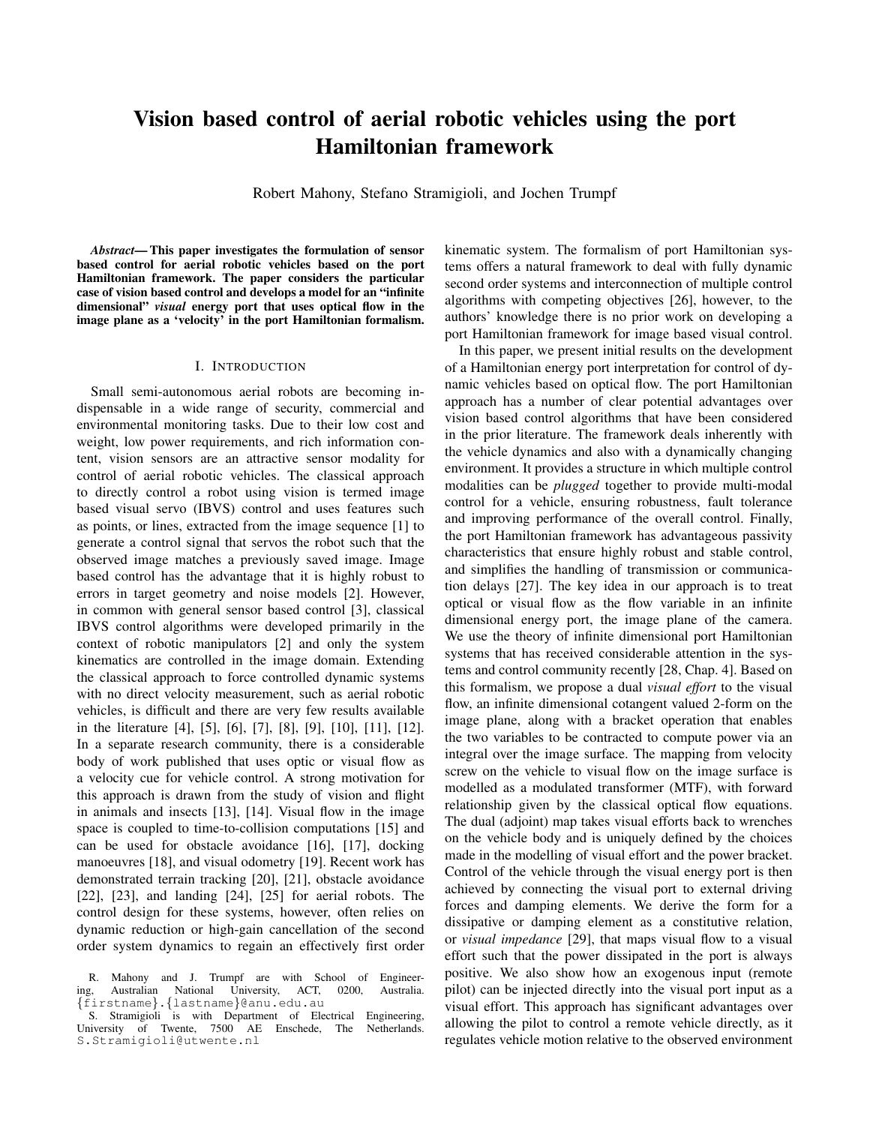# Vision based control of aerial robotic vehicles using the port Hamiltonian framework

Robert Mahony, Stefano Stramigioli, and Jochen Trumpf

*Abstract*— This paper investigates the formulation of sensor based control for aerial robotic vehicles based on the port Hamiltonian framework. The paper considers the particular case of vision based control and develops a model for an "infinite dimensional" *visual* energy port that uses optical flow in the image plane as a 'velocity' in the port Hamiltonian formalism.

#### I. INTRODUCTION

Small semi-autonomous aerial robots are becoming indispensable in a wide range of security, commercial and environmental monitoring tasks. Due to their low cost and weight, low power requirements, and rich information content, vision sensors are an attractive sensor modality for control of aerial robotic vehicles. The classical approach to directly control a robot using vision is termed image based visual servo (IBVS) control and uses features such as points, or lines, extracted from the image sequence [1] to generate a control signal that servos the robot such that the observed image matches a previously saved image. Image based control has the advantage that it is highly robust to errors in target geometry and noise models [2]. However, in common with general sensor based control [3], classical IBVS control algorithms were developed primarily in the context of robotic manipulators [2] and only the system kinematics are controlled in the image domain. Extending the classical approach to force controlled dynamic systems with no direct velocity measurement, such as aerial robotic vehicles, is difficult and there are very few results available in the literature [4], [5], [6], [7], [8], [9], [10], [11], [12]. In a separate research community, there is a considerable body of work published that uses optic or visual flow as a velocity cue for vehicle control. A strong motivation for this approach is drawn from the study of vision and flight in animals and insects [13], [14]. Visual flow in the image space is coupled to time-to-collision computations [15] and can be used for obstacle avoidance [16], [17], docking manoeuvres [18], and visual odometry [19]. Recent work has demonstrated terrain tracking [20], [21], obstacle avoidance  $[22]$ ,  $[23]$ , and landing  $[24]$ ,  $[25]$  for aerial robots. The control design for these systems, however, often relies on dynamic reduction or high-gain cancellation of the second order system dynamics to regain an effectively first order

kinematic system. The formalism of port Hamiltonian systems offers a natural framework to deal with fully dynamic second order systems and interconnection of multiple control algorithms with competing objectives [26], however, to the authors' knowledge there is no prior work on developing a port Hamiltonian framework for image based visual control.

In this paper, we present initial results on the development of a Hamiltonian energy port interpretation for control of dynamic vehicles based on optical flow. The port Hamiltonian approach has a number of clear potential advantages over vision based control algorithms that have been considered in the prior literature. The framework deals inherently with the vehicle dynamics and also with a dynamically changing environment. It provides a structure in which multiple control modalities can be *plugged* together to provide multi-modal control for a vehicle, ensuring robustness, fault tolerance and improving performance of the overall control. Finally, the port Hamiltonian framework has advantageous passivity characteristics that ensure highly robust and stable control, and simplifies the handling of transmission or communication delays [27]. The key idea in our approach is to treat optical or visual flow as the flow variable in an infinite dimensional energy port, the image plane of the camera. We use the theory of infinite dimensional port Hamiltonian systems that has received considerable attention in the systems and control community recently [28, Chap. 4]. Based on this formalism, we propose a dual *visual effort* to the visual flow, an infinite dimensional cotangent valued 2-form on the image plane, along with a bracket operation that enables the two variables to be contracted to compute power via an integral over the image surface. The mapping from velocity screw on the vehicle to visual flow on the image surface is modelled as a modulated transformer (MTF), with forward relationship given by the classical optical flow equations. The dual (adjoint) map takes visual efforts back to wrenches on the vehicle body and is uniquely defined by the choices made in the modelling of visual effort and the power bracket. Control of the vehicle through the visual energy port is then achieved by connecting the visual port to external driving forces and damping elements. We derive the form for a dissipative or damping element as a constitutive relation, or *visual impedance* [29], that maps visual flow to a visual effort such that the power dissipated in the port is always positive. We also show how an exogenous input (remote pilot) can be injected directly into the visual port input as a visual effort. This approach has significant advantages over allowing the pilot to control a remote vehicle directly, as it regulates vehicle motion relative to the observed environment

R. Mahony and J. Trumpf are with School of Engineer-<br>g. Australian National University, ACT, 0200, Australia. ing, Australian National University, {firstname}.{lastname}@anu.edu.au

S. Stramigioli is with Department of Electrical Engineering,<br>niversity of Twente, 7500 AE Enschede, The Netherlands. University of Twente, 7500 AE Enschede, The S.Stramigioli@utwente.nl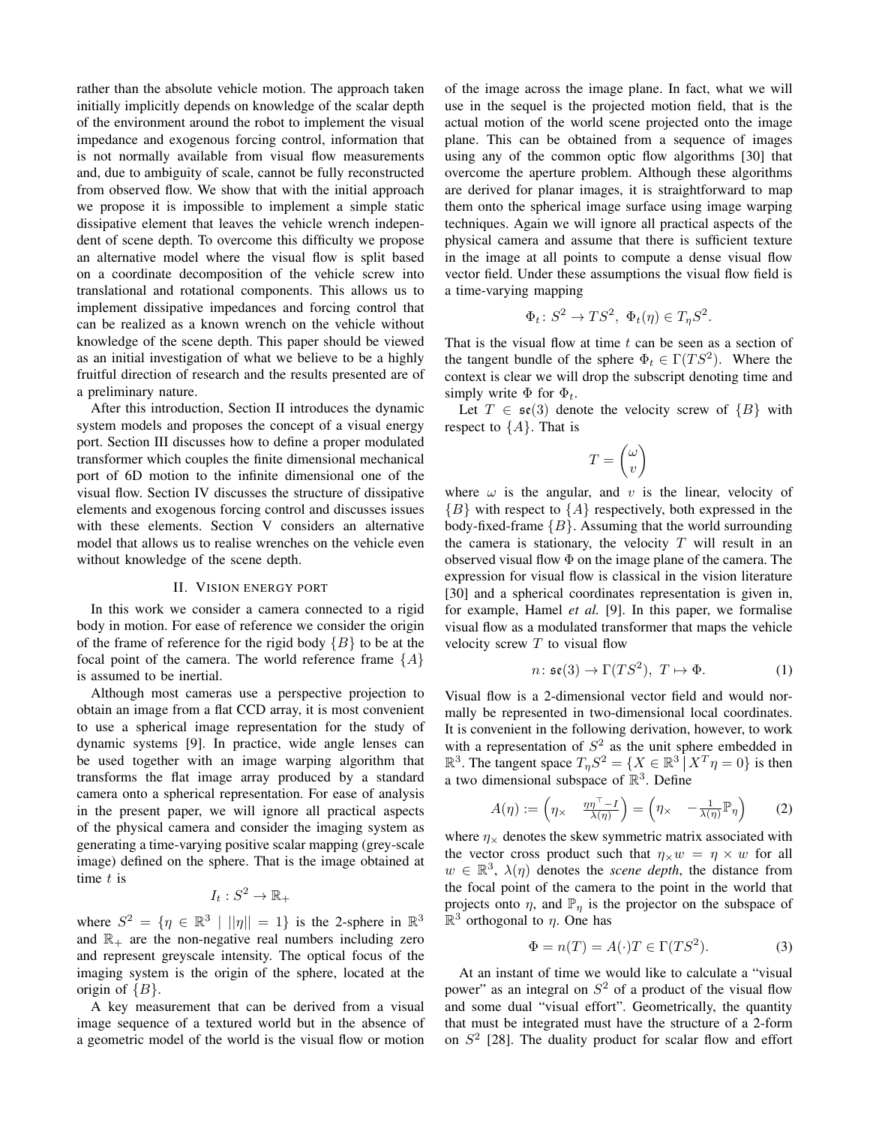rather than the absolute vehicle motion. The approach taken initially implicitly depends on knowledge of the scalar depth of the environment around the robot to implement the visual impedance and exogenous forcing control, information that is not normally available from visual flow measurements and, due to ambiguity of scale, cannot be fully reconstructed from observed flow. We show that with the initial approach we propose it is impossible to implement a simple static dissipative element that leaves the vehicle wrench independent of scene depth. To overcome this difficulty we propose an alternative model where the visual flow is split based on a coordinate decomposition of the vehicle screw into translational and rotational components. This allows us to implement dissipative impedances and forcing control that can be realized as a known wrench on the vehicle without knowledge of the scene depth. This paper should be viewed as an initial investigation of what we believe to be a highly fruitful direction of research and the results presented are of a preliminary nature.

After this introduction, Section II introduces the dynamic system models and proposes the concept of a visual energy port. Section III discusses how to define a proper modulated transformer which couples the finite dimensional mechanical port of 6D motion to the infinite dimensional one of the visual flow. Section IV discusses the structure of dissipative elements and exogenous forcing control and discusses issues with these elements. Section V considers an alternative model that allows us to realise wrenches on the vehicle even without knowledge of the scene depth.

### II. VISION ENERGY PORT

In this work we consider a camera connected to a rigid body in motion. For ease of reference we consider the origin of the frame of reference for the rigid body  ${B}$  to be at the focal point of the camera. The world reference frame  $\{A\}$ is assumed to be inertial.

Although most cameras use a perspective projection to obtain an image from a flat CCD array, it is most convenient to use a spherical image representation for the study of dynamic systems [9]. In practice, wide angle lenses can be used together with an image warping algorithm that transforms the flat image array produced by a standard camera onto a spherical representation. For ease of analysis in the present paper, we will ignore all practical aspects of the physical camera and consider the imaging system as generating a time-varying positive scalar mapping (grey-scale image) defined on the sphere. That is the image obtained at time  $t$  is

$$
I_t: S^2 \to \mathbb{R}_+
$$

where  $S^2 = \{ \eta \in \mathbb{R}^3 \mid ||\eta|| = 1 \}$  is the 2-sphere in  $\mathbb{R}^3$ and  $\mathbb{R}_+$  are the non-negative real numbers including zero and represent greyscale intensity. The optical focus of the imaging system is the origin of the sphere, located at the origin of  ${B}$ .

A key measurement that can be derived from a visual image sequence of a textured world but in the absence of a geometric model of the world is the visual flow or motion of the image across the image plane. In fact, what we will use in the sequel is the projected motion field, that is the actual motion of the world scene projected onto the image plane. This can be obtained from a sequence of images using any of the common optic flow algorithms [30] that overcome the aperture problem. Although these algorithms are derived for planar images, it is straightforward to map them onto the spherical image surface using image warping techniques. Again we will ignore all practical aspects of the physical camera and assume that there is sufficient texture in the image at all points to compute a dense visual flow vector field. Under these assumptions the visual flow field is a time-varying mapping

$$
\Phi_t \colon S^2 \to TS^2, \ \Phi_t(\eta) \in T_\eta S^2.
$$

That is the visual flow at time  $t$  can be seen as a section of the tangent bundle of the sphere  $\Phi_t \in \Gamma(TS^2)$ . Where the context is clear we will drop the subscript denoting time and simply write  $\Phi$  for  $\Phi_t$ .

Let  $T \in \mathfrak{se}(3)$  denote the velocity screw of  $\{B\}$  with respect to  $\{A\}$ . That is

$$
T=\begin{pmatrix}\omega\\v\end{pmatrix}
$$

where  $\omega$  is the angular, and v is the linear, velocity of  ${B}$  with respect to  ${A}$  respectively, both expressed in the body-fixed-frame  ${B}$ . Assuming that the world surrounding the camera is stationary, the velocity  $T$  will result in an observed visual flow Φ on the image plane of the camera. The expression for visual flow is classical in the vision literature [30] and a spherical coordinates representation is given in, for example, Hamel *et al.* [9]. In this paper, we formalise visual flow as a modulated transformer that maps the vehicle velocity screw  $T$  to visual flow

$$
n: \mathfrak{se}(3) \to \Gamma(TS^2), \ T \mapsto \Phi. \tag{1}
$$

Visual flow is a 2-dimensional vector field and would normally be represented in two-dimensional local coordinates. It is convenient in the following derivation, however, to work with a representation of  $S^2$  as the unit sphere embedded in  $\mathbb{R}^3$ . The tangent space  $T_{\eta}S^2 = \{X \in \mathbb{R}^3 \mid X^T \eta = 0\}$  is then a two dimensional subspace of  $\mathbb{R}^3$ . Define

$$
A(\eta) := \left(\eta_{\times} \quad \frac{\eta \eta^{\top} - I}{\lambda(\eta)}\right) = \left(\eta_{\times} \quad -\frac{1}{\lambda(\eta)} \mathbb{P}_{\eta}\right) \tag{2}
$$

where  $\eta_{\times}$  denotes the skew symmetric matrix associated with the vector cross product such that  $\eta_x w = \eta \times w$  for all  $w \in \mathbb{R}^3$ ,  $\lambda(\eta)$  denotes the *scene depth*, the distance from the focal point of the camera to the point in the world that projects onto  $\eta$ , and  $\mathbb{P}_{\eta}$  is the projector on the subspace of  $\mathbb{R}^3$  orthogonal to  $\eta$ . One has

$$
\Phi = n(T) = A(\cdot)T \in \Gamma(TS^2). \tag{3}
$$

At an instant of time we would like to calculate a "visual power" as an integral on  $S^2$  of a product of the visual flow and some dual "visual effort". Geometrically, the quantity that must be integrated must have the structure of a 2-form on  $S<sup>2</sup>$  [28]. The duality product for scalar flow and effort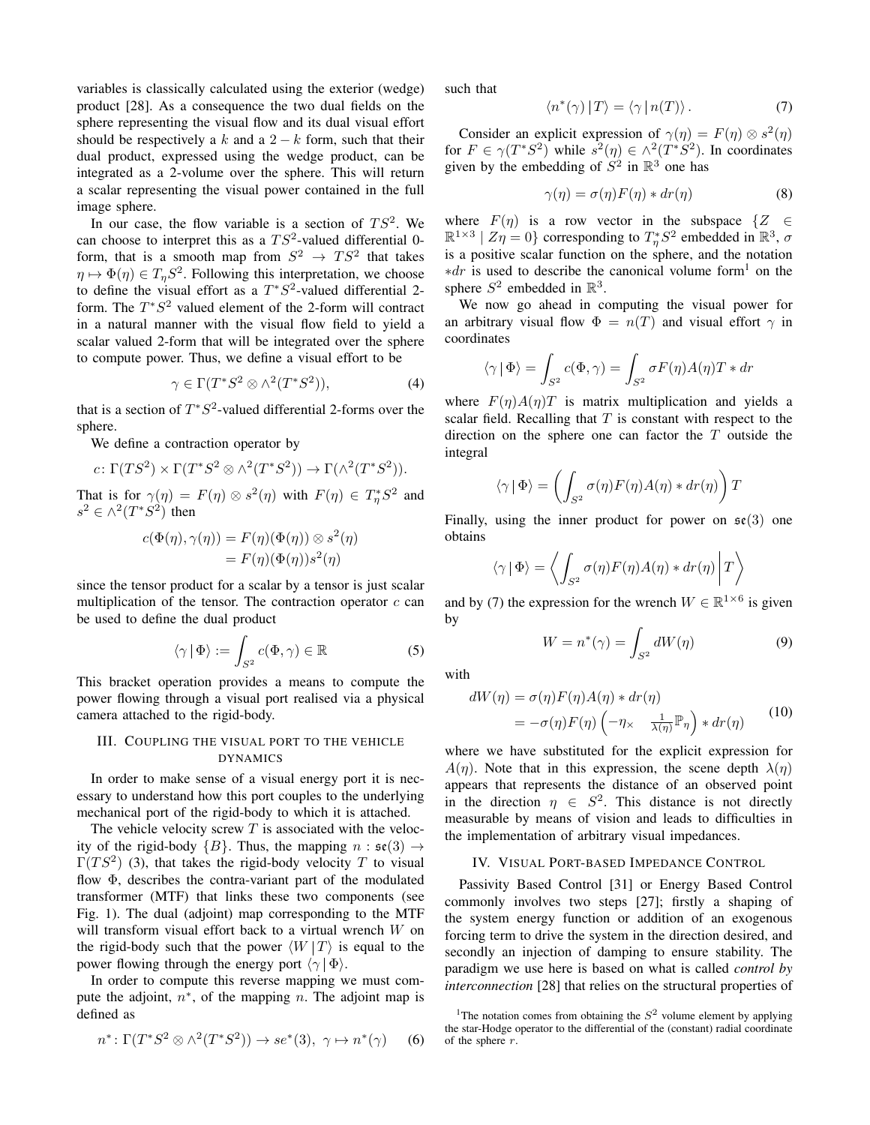variables is classically calculated using the exterior (wedge) product [28]. As a consequence the two dual fields on the sphere representing the visual flow and its dual visual effort should be respectively a k and a  $2 - k$  form, such that their dual product, expressed using the wedge product, can be integrated as a 2-volume over the sphere. This will return a scalar representing the visual power contained in the full image sphere.

In our case, the flow variable is a section of  $TS^2$ . We can choose to interpret this as a  $TS^2$ -valued differential 0form, that is a smooth map from  $S^2 \rightarrow TS^2$  that takes  $\eta \mapsto \Phi(\eta) \in T_{\eta}S^2$ . Following this interpretation, we choose to define the visual effort as a  $T^*S^2$ -valued differential 2form. The  $T^*S^2$  valued element of the 2-form will contract in a natural manner with the visual flow field to yield a scalar valued 2-form that will be integrated over the sphere to compute power. Thus, we define a visual effort to be

$$
\gamma \in \Gamma(T^*S^2 \otimes \wedge^2(T^*S^2)),\tag{4}
$$

that is a section of  $T^*S^2$ -valued differential 2-forms over the sphere.

We define a contraction operator by

$$
c\colon \Gamma(TS^2) \times \Gamma(T^*S^2 \otimes \wedge^2(T^*S^2)) \to \Gamma(\wedge^2(T^*S^2)).
$$

That is for  $\gamma(\eta) = F(\eta) \otimes s^2(\eta)$  with  $F(\eta) \in T^*_{\eta}S^2$  and  $s^2 \in \wedge^2(T^*S^2)$  then

$$
c(\Phi(\eta), \gamma(\eta)) = F(\eta)(\Phi(\eta)) \otimes s^2(\eta)
$$
  
=  $F(\eta)(\Phi(\eta))s^2(\eta)$ 

since the tensor product for a scalar by a tensor is just scalar multiplication of the tensor. The contraction operator  $c$  can be used to define the dual product

$$
\langle \gamma | \Phi \rangle := \int_{S^2} c(\Phi, \gamma) \in \mathbb{R} \tag{5}
$$

This bracket operation provides a means to compute the power flowing through a visual port realised via a physical camera attached to the rigid-body.

## III. COUPLING THE VISUAL PORT TO THE VEHICLE DYNAMICS

In order to make sense of a visual energy port it is necessary to understand how this port couples to the underlying mechanical port of the rigid-body to which it is attached.

The vehicle velocity screw  $T$  is associated with the velocity of the rigid-body  ${B}$ . Thus, the mapping  $n : \mathfrak{se}(3) \rightarrow$  $\Gamma(TS^2)$  (3), that takes the rigid-body velocity T to visual flow Φ, describes the contra-variant part of the modulated transformer (MTF) that links these two components (see Fig. 1). The dual (adjoint) map corresponding to the MTF will transform visual effort back to a virtual wrench W on the rigid-body such that the power  $\langle W | T \rangle$  is equal to the power flowing through the energy port  $\langle \gamma | \Phi \rangle$ .

In order to compute this reverse mapping we must compute the adjoint,  $n^*$ , of the mapping n. The adjoint map is defined as

$$
n^* \colon \Gamma(T^*S^2 \otimes \wedge^2(T^*S^2)) \to se^*(3), \ \gamma \mapsto n^*(\gamma) \tag{6}
$$

such that

$$
\langle n^*(\gamma) | T \rangle = \langle \gamma | n(T) \rangle. \tag{7}
$$

Consider an explicit expression of  $\gamma(\eta) = F(\eta) \otimes s^2(\eta)$ for  $F \in \gamma(T^*S^2)$  while  $s^2(\eta) \in \wedge^2(T^*S^2)$ . In coordinates given by the embedding of  $S^2$  in  $\mathbb{R}^3$  one has

$$
\gamma(\eta) = \sigma(\eta) F(\eta) * dr(\eta) \tag{8}
$$

where  $F(\eta)$  is a row vector in the subspace  $\{Z \in$  $\mathbb{R}^{1\times3}$  |  $Z\eta = 0$ } corresponding to  $T^*_{\eta}S^2$  embedded in  $\mathbb{R}^3$ ,  $\sigma$ is a positive scalar function on the sphere, and the notation  $*dr$  is used to describe the canonical volume form<sup>1</sup> on the sphere  $S^2$  embedded in  $\mathbb{R}^3$ .

We now go ahead in computing the visual power for an arbitrary visual flow  $\Phi = n(T)$  and visual effort  $\gamma$  in coordinates

$$
\langle \gamma | \Phi \rangle = \int_{S^2} c(\Phi, \gamma) = \int_{S^2} \sigma F(\eta) A(\eta) T * dr
$$

where  $F(\eta)A(\eta)T$  is matrix multiplication and yields a scalar field. Recalling that  $T$  is constant with respect to the direction on the sphere one can factor the T outside the integral

$$
\langle \gamma | \Phi \rangle = \left( \int_{S^2} \sigma(\eta) F(\eta) A(\eta) * dr(\eta) \right) T
$$

Finally, using the inner product for power on  $\mathfrak{se}(3)$  one obtains

$$
\langle \gamma | \Phi \rangle = \left\langle \int_{S^2} \sigma(\eta) F(\eta) A(\eta) * dr(\eta) \middle| T \right\rangle
$$

and by (7) the expression for the wrench  $W \in \mathbb{R}^{1 \times 6}$  is given by

$$
W = n^*(\gamma) = \int_{S^2} dW(\eta) \tag{9}
$$

with

$$
dW(\eta) = \sigma(\eta) F(\eta) A(\eta) * dr(\eta)
$$
  
=  $-\sigma(\eta) F(\eta) \left( -\eta_{\times} \frac{1}{\lambda(\eta)} \mathbb{P}_{\eta} \right) * dr(\eta)$  (10)

where we have substituted for the explicit expression for  $A(\eta)$ . Note that in this expression, the scene depth  $\lambda(\eta)$ appears that represents the distance of an observed point in the direction  $\eta \in S^2$ . This distance is not directly measurable by means of vision and leads to difficulties in the implementation of arbitrary visual impedances.

# IV. VISUAL PORT-BASED IMPEDANCE CONTROL

Passivity Based Control [31] or Energy Based Control commonly involves two steps [27]; firstly a shaping of the system energy function or addition of an exogenous forcing term to drive the system in the direction desired, and secondly an injection of damping to ensure stability. The paradigm we use here is based on what is called *control by interconnection* [28] that relies on the structural properties of

<sup>&</sup>lt;sup>1</sup>The notation comes from obtaining the  $S<sup>2</sup>$  volume element by applying the star-Hodge operator to the differential of the (constant) radial coordinate of the sphere  $r$ .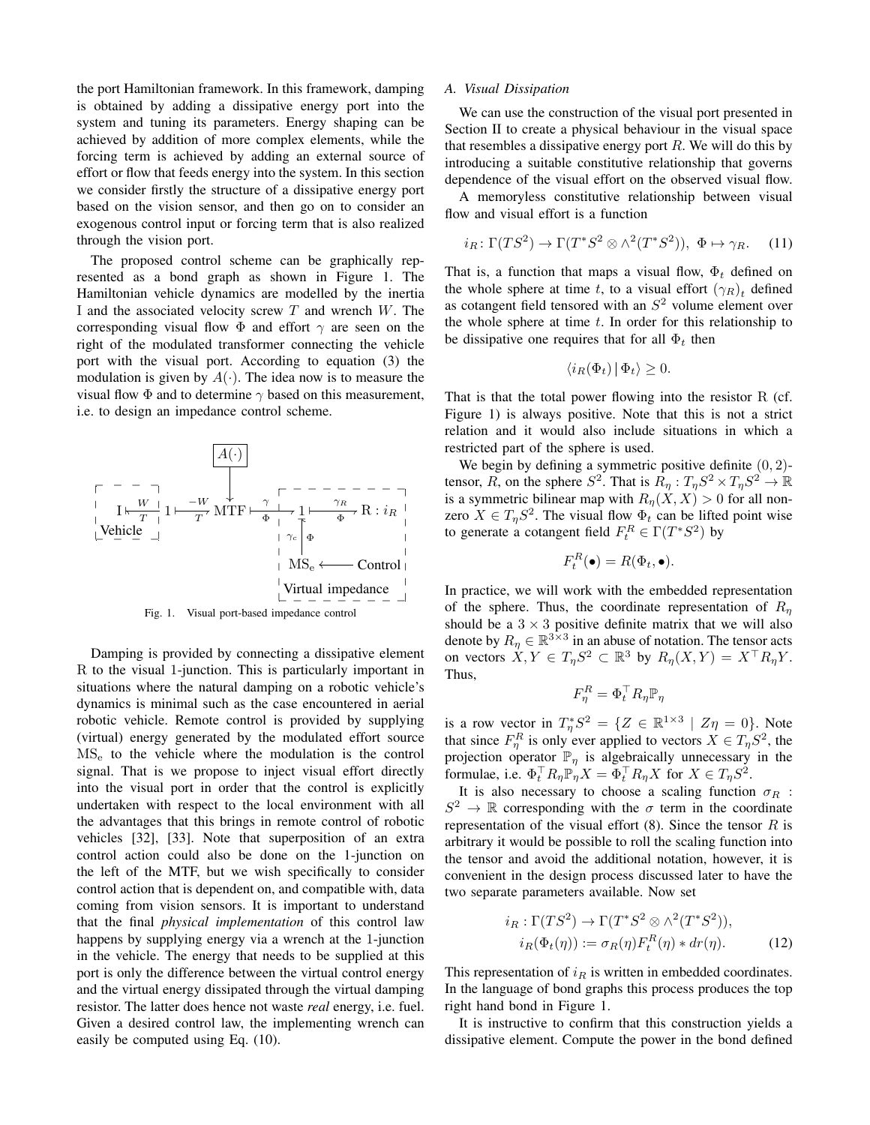the port Hamiltonian framework. In this framework, damping is obtained by adding a dissipative energy port into the system and tuning its parameters. Energy shaping can be achieved by addition of more complex elements, while the forcing term is achieved by adding an external source of effort or flow that feeds energy into the system. In this section we consider firstly the structure of a dissipative energy port based on the vision sensor, and then go on to consider an exogenous control input or forcing term that is also realized through the vision port.

The proposed control scheme can be graphically represented as a bond graph as shown in Figure 1. The Hamiltonian vehicle dynamics are modelled by the inertia I and the associated velocity screw  $T$  and wrench  $W$ . The corresponding visual flow  $\Phi$  and effort  $\gamma$  are seen on the right of the modulated transformer connecting the vehicle port with the visual port. According to equation (3) the modulation is given by  $A(\cdot)$ . The idea now is to measure the visual flow  $\Phi$  and to determine  $\gamma$  based on this measurement, i.e. to design an impedance control scheme.



Damping is provided by connecting a dissipative element R to the visual 1-junction. This is particularly important in situations where the natural damping on a robotic vehicle's dynamics is minimal such as the case encountered in aerial robotic vehicle. Remote control is provided by supplying (virtual) energy generated by the modulated effort source MS<sup>e</sup> to the vehicle where the modulation is the control signal. That is we propose to inject visual effort directly into the visual port in order that the control is explicitly undertaken with respect to the local environment with all the advantages that this brings in remote control of robotic vehicles [32], [33]. Note that superposition of an extra control action could also be done on the 1-junction on the left of the MTF, but we wish specifically to consider control action that is dependent on, and compatible with, data coming from vision sensors. It is important to understand that the final *physical implementation* of this control law happens by supplying energy via a wrench at the 1-junction in the vehicle. The energy that needs to be supplied at this port is only the difference between the virtual control energy and the virtual energy dissipated through the virtual damping resistor. The latter does hence not waste *real* energy, i.e. fuel. Given a desired control law, the implementing wrench can easily be computed using Eq. (10).

#### *A. Visual Dissipation*

We can use the construction of the visual port presented in Section II to create a physical behaviour in the visual space that resembles a dissipative energy port  $R$ . We will do this by introducing a suitable constitutive relationship that governs dependence of the visual effort on the observed visual flow.

A memoryless constitutive relationship between visual flow and visual effort is a function

$$
i_R \colon \Gamma(TS^2) \to \Gamma(T^*S^2 \otimes \wedge^2(T^*S^2)), \ \Phi \mapsto \gamma_R. \tag{11}
$$

That is, a function that maps a visual flow,  $\Phi_t$  defined on the whole sphere at time t, to a visual effort  $(\gamma_R)_t$  defined as cotangent field tensored with an  $S<sup>2</sup>$  volume element over the whole sphere at time  $t$ . In order for this relationship to be dissipative one requires that for all  $\Phi_t$  then

$$
\langle i_R(\Phi_t) | \Phi_t \rangle \ge 0.
$$

That is that the total power flowing into the resistor R (cf. Figure 1) is always positive. Note that this is not a strict relation and it would also include situations in which a restricted part of the sphere is used.

We begin by defining a symmetric positive definite  $(0, 2)$ tensor,  $R$ , on the sphere  $S^2$ . That is  $R_\eta: T_\eta S^2 \times T_\eta S^2 \to \mathbb{R}$ is a symmetric bilinear map with  $R_{\eta}(X, X) > 0$  for all nonzero  $X \in T_{\eta}S^2$ . The visual flow  $\Phi_t$  can be lifted point wise to generate a cotangent field  $F_t^R \in \Gamma(T^*S^2)$  by

$$
F_t^R(\bullet) = R(\Phi_t, \bullet).
$$

In practice, we will work with the embedded representation of the sphere. Thus, the coordinate representation of  $R_n$ should be a  $3 \times 3$  positive definite matrix that we will also denote by  $R_{\eta} \in \mathbb{R}^{3 \times 3}$  in an abuse of notation. The tensor acts on vectors  $X, Y \in T_\eta S^2 \subset \mathbb{R}^3$  by  $R_\eta(X, Y) = X^\top R_\eta Y$ . Thus,

$$
F^R_\eta = \Phi_t^\top R_\eta \mathbb{P}_\eta
$$

is a row vector in  $T^*_{\eta}S^2 = \{ Z \in \mathbb{R}^{1 \times 3} \mid Z\eta = 0 \}.$  Note that since  $F_{\eta}^{R}$  is only ever applied to vectors  $X \in T_{\eta}S^{2}$ , the projection operator  $\mathbb{P}_\eta$  is algebraically unnecessary in the formulae, i.e.  $\Phi_t^{\top} R_{\eta} \mathbb{P}_{\eta}^{\top} X = \Phi_t^{\top} R_{\eta} X$  for  $X \in T_{\eta} S^2$ .

It is also necessary to choose a scaling function  $\sigma_R$ :  $S^2 \to \mathbb{R}$  corresponding with the  $\sigma$  term in the coordinate representation of the visual effort  $(8)$ . Since the tensor R is arbitrary it would be possible to roll the scaling function into the tensor and avoid the additional notation, however, it is convenient in the design process discussed later to have the two separate parameters available. Now set

$$
i_R: \Gamma(TS^2) \to \Gamma(T^*S^2 \otimes \wedge^2(T^*S^2)),
$$
  
\n
$$
i_R(\Phi_t(\eta)) := \sigma_R(\eta) F_t^R(\eta) * dr(\eta).
$$
 (12)

This representation of  $i_R$  is written in embedded coordinates. In the language of bond graphs this process produces the top right hand bond in Figure 1.

It is instructive to confirm that this construction yields a dissipative element. Compute the power in the bond defined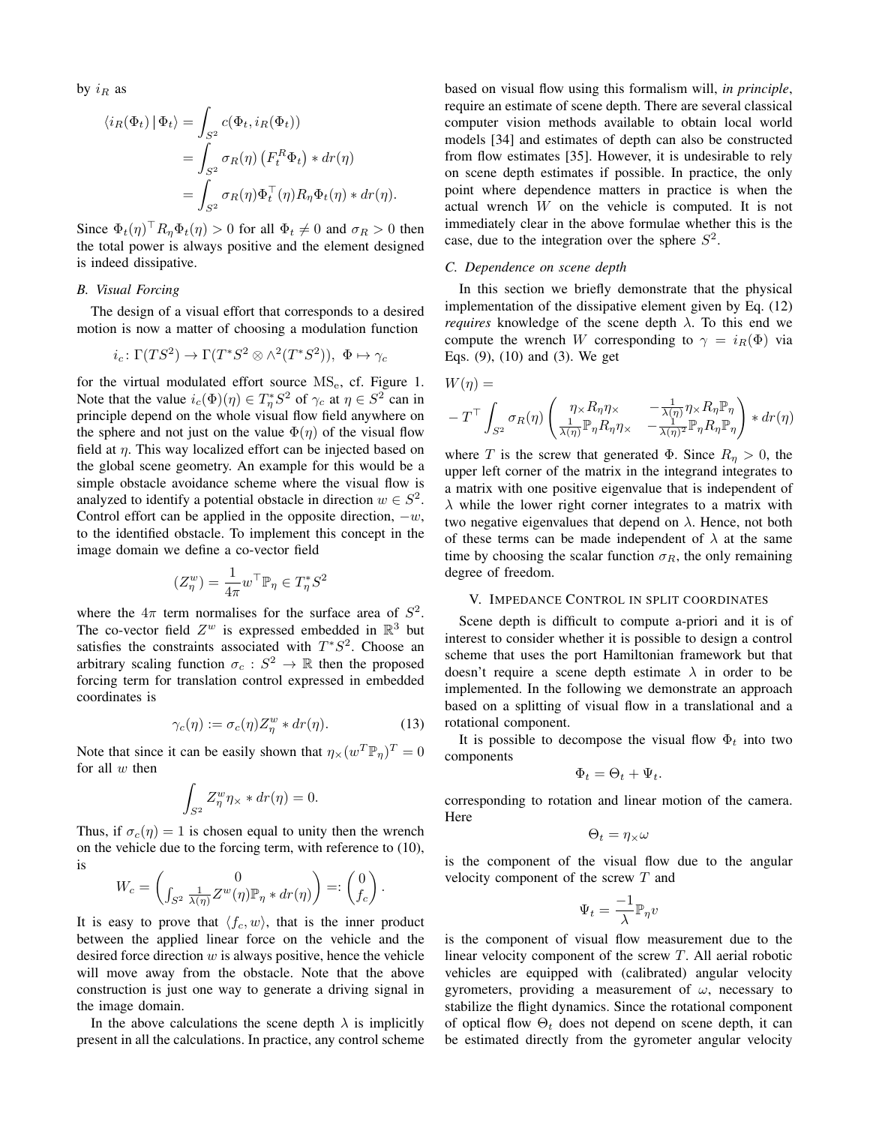by  $i_R$  as

$$
\langle i_R(\Phi_t) | \Phi_t \rangle = \int_{S^2} c(\Phi_t, i_R(\Phi_t))
$$
  
= 
$$
\int_{S^2} \sigma_R(\eta) (F_t^R \Phi_t) * dr(\eta)
$$
  
= 
$$
\int_{S^2} \sigma_R(\eta) \Phi_t^{\top}(\eta) R_\eta \Phi_t(\eta) * dr(\eta).
$$

Since  $\Phi_t(\eta)^\top R_{\eta} \Phi_t(\eta) > 0$  for all  $\Phi_t \neq 0$  and  $\sigma_R > 0$  then the total power is always positive and the element designed is indeed dissipative.

# *B. Visual Forcing*

The design of a visual effort that corresponds to a desired motion is now a matter of choosing a modulation function

$$
i_c \colon \Gamma(TS^2) \to \Gamma(T^*S^2 \otimes \wedge^2(T^*S^2)), \ \Phi \mapsto \gamma_c
$$

for the virtual modulated effort source MS<sub>e</sub>, cf. Figure 1. Note that the value  $i_c(\Phi)(\eta) \in T^*_{\eta} S^2$  of  $\gamma_c$  at  $\eta \in S^2$  can in principle depend on the whole visual flow field anywhere on the sphere and not just on the value  $\Phi(\eta)$  of the visual flow field at  $\eta$ . This way localized effort can be injected based on the global scene geometry. An example for this would be a simple obstacle avoidance scheme where the visual flow is analyzed to identify a potential obstacle in direction  $w \in S^2$ . Control effort can be applied in the opposite direction,  $-w$ , to the identified obstacle. To implement this concept in the image domain we define a co-vector field

$$
(Z^w_\eta) = \frac{1}{4\pi} w^\top \mathbb{P}_\eta \in T^*_\eta S^2
$$

where the  $4\pi$  term normalises for the surface area of  $S^2$ . The co-vector field  $Z^w$  is expressed embedded in  $\mathbb{R}^3$  but satisfies the constraints associated with  $T^*S^2$ . Choose an arbitrary scaling function  $\sigma_c : S^2 \to \mathbb{R}$  then the proposed forcing term for translation control expressed in embedded coordinates is

$$
\gamma_c(\eta) := \sigma_c(\eta) Z_\eta^w * dr(\eta). \tag{13}
$$

Note that since it can be easily shown that  $\eta_{\times}(w^T \mathbb{P}_{\eta})^T = 0$ for all  $w$  then

$$
\int_{S^2} Z_\eta^w \eta_\times * dr(\eta) = 0.
$$

Thus, if  $\sigma_c(\eta) = 1$  is chosen equal to unity then the wrench on the vehicle due to the forcing term, with reference to (10), is

$$
W_c=\begin{pmatrix}0\\ \int_{S^2}\frac{1}{\lambda(\eta)}Z^w(\eta)\mathbb{P}_\eta\ast dr(\eta)\end{pmatrix}=:\begin{pmatrix}0\\ f_c\end{pmatrix}.
$$

It is easy to prove that  $\langle f_c, w \rangle$ , that is the inner product between the applied linear force on the vehicle and the desired force direction  $w$  is always positive, hence the vehicle will move away from the obstacle. Note that the above construction is just one way to generate a driving signal in the image domain.

In the above calculations the scene depth  $\lambda$  is implicitly present in all the calculations. In practice, any control scheme based on visual flow using this formalism will, *in principle*, require an estimate of scene depth. There are several classical computer vision methods available to obtain local world models [34] and estimates of depth can also be constructed from flow estimates [35]. However, it is undesirable to rely on scene depth estimates if possible. In practice, the only point where dependence matters in practice is when the actual wrench W on the vehicle is computed. It is not immediately clear in the above formulae whether this is the case, due to the integration over the sphere  $S^2$ .

# *C. Dependence on scene depth*

In this section we briefly demonstrate that the physical implementation of the dissipative element given by Eq. (12) *requires* knowledge of the scene depth  $\lambda$ . To this end we compute the wrench W corresponding to  $\gamma = i_R(\Phi)$  via Eqs. (9), (10) and (3). We get

$$
W(\eta) =
$$
  
-  $T^{\top}$   $\int_{S^2} \sigma_R(\eta) \begin{pmatrix} \eta_{\times} R_{\eta} \eta_{\times} & -\frac{1}{\lambda(\eta)} \eta_{\times} R_{\eta} \mathbb{P}_{\eta} \\ \frac{1}{\lambda(\eta)} \mathbb{P}_{\eta} R_{\eta} \eta_{\times} & -\frac{1}{\lambda(\eta)^2} \mathbb{P}_{\eta} R_{\eta} \mathbb{P}_{\eta} \end{pmatrix} * d r(\eta)$ 

where T is the screw that generated  $\Phi$ . Since  $R_n > 0$ , the upper left corner of the matrix in the integrand integrates to a matrix with one positive eigenvalue that is independent of  $\lambda$  while the lower right corner integrates to a matrix with two negative eigenvalues that depend on  $\lambda$ . Hence, not both of these terms can be made independent of  $\lambda$  at the same time by choosing the scalar function  $\sigma_R$ , the only remaining degree of freedom.

# V. IMPEDANCE CONTROL IN SPLIT COORDINATES

Scene depth is difficult to compute a-priori and it is of interest to consider whether it is possible to design a control scheme that uses the port Hamiltonian framework but that doesn't require a scene depth estimate  $\lambda$  in order to be implemented. In the following we demonstrate an approach based on a splitting of visual flow in a translational and a rotational component.

It is possible to decompose the visual flow  $\Phi_t$  into two components

$$
\Phi_t = \Theta_t + \Psi_t.
$$

corresponding to rotation and linear motion of the camera. Here

$$
\Theta_t = \eta_\times \omega
$$

is the component of the visual flow due to the angular velocity component of the screw  $T$  and

$$
\Psi_t = \frac{-1}{\lambda} \mathbb{P}_\eta v
$$

is the component of visual flow measurement due to the linear velocity component of the screw T. All aerial robotic vehicles are equipped with (calibrated) angular velocity gyrometers, providing a measurement of  $\omega$ , necessary to stabilize the flight dynamics. Since the rotational component of optical flow  $\Theta_t$  does not depend on scene depth, it can be estimated directly from the gyrometer angular velocity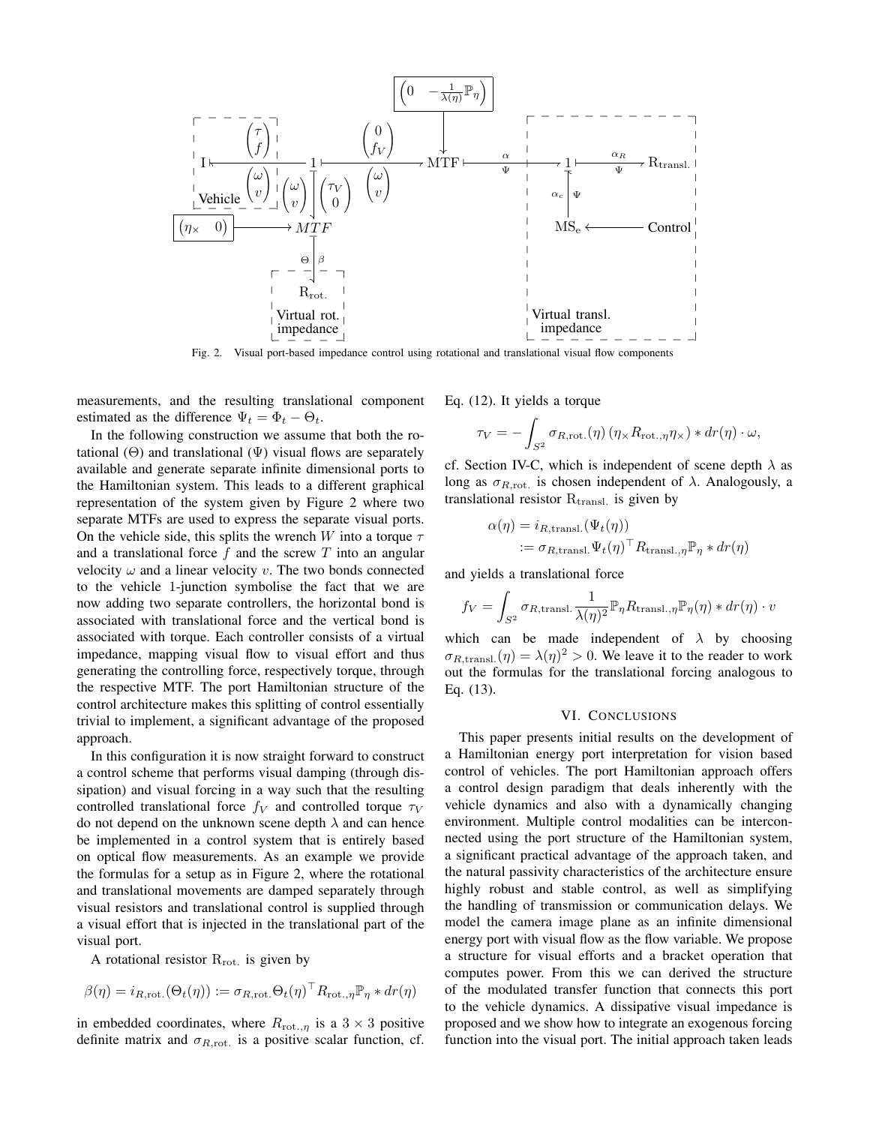

Fig. 2. Visual port-based impedance control using rotational and translational visual flow components

measurements, and the resulting translational component estimated as the difference  $\Psi_t = \Phi_t - \Theta_t$ .

In the following construction we assume that both the rotational  $(\Theta)$  and translational  $(\Psi)$  visual flows are separately available and generate separate infinite dimensional ports to the Hamiltonian system. This leads to a different graphical representation of the system given by Figure 2 where two separate MTFs are used to express the separate visual ports. On the vehicle side, this splits the wrench W into a torque  $\tau$ and a translational force  $f$  and the screw  $T$  into an angular velocity  $\omega$  and a linear velocity v. The two bonds connected to the vehicle 1-junction symbolise the fact that we are now adding two separate controllers, the horizontal bond is associated with translational force and the vertical bond is associated with torque. Each controller consists of a virtual impedance, mapping visual flow to visual effort and thus generating the controlling force, respectively torque, through the respective MTF. The port Hamiltonian structure of the control architecture makes this splitting of control essentially trivial to implement, a significant advantage of the proposed approach.

In this configuration it is now straight forward to construct a control scheme that performs visual damping (through dissipation) and visual forcing in a way such that the resulting controlled translational force  $f_V$  and controlled torque  $\tau_V$ do not depend on the unknown scene depth  $\lambda$  and can hence be implemented in a control system that is entirely based on optical flow measurements. As an example we provide the formulas for a setup as in Figure 2, where the rotational and translational movements are damped separately through visual resistors and translational control is supplied through a visual effort that is injected in the translational part of the visual port.

A rotational resistor  $R_{\text{rot.}}$  is given by

$$
\beta(\eta) = i_{R,\text{rot.}}(\Theta_t(\eta)) := \sigma_{R,\text{rot.}}\Theta_t(\eta)^{\top} R_{\text{rot.},\eta} \mathbb{P}_{\eta} * dr(\eta)
$$

in embedded coordinates, where  $R_{\text{rot.},\eta}$  is a  $3 \times 3$  positive definite matrix and  $\sigma_{R, \text{rot}}$  is a positive scalar function, cf.

Eq. (12). It yields a torque

$$
\tau_V = -\int_{S^2} \sigma_{R, \text{rot.}}(\eta) \left( \eta_{\times} R_{\text{rot.}, \eta} \eta_{\times} \right) * dr(\eta) \cdot \omega,
$$

cf. Section IV-C, which is independent of scene depth  $\lambda$  as long as  $\sigma_{R, \text{rot.}}$  is chosen independent of  $\lambda$ . Analogously, a translational resistor  $R_{\text{transl}}$  is given by

$$
\alpha(\eta) = i_{R, \text{transl.}}(\Psi_t(\eta))
$$
  
 :=  $\sigma_{R, \text{transl.}} \Psi_t(\eta)^{\top} R_{\text{transl.}, \eta} \mathbb{P}_{\eta} * dr(\eta)$ 

and yields a translational force

$$
f_V = \int_{S^2} \sigma_{R, \text{transl.}} \frac{1}{\lambda(\eta)^2} \mathbb{P}_\eta R_{\text{transl.}, \eta} \mathbb{P}_\eta(\eta) * d r(\eta) \cdot v
$$

which can be made independent of  $\lambda$  by choosing  $\sigma_{R,\text{transl.}}(\eta) = \lambda(\eta)^2 > 0$ . We leave it to the reader to work out the formulas for the translational forcing analogous to Eq. (13).

#### VI. CONCLUSIONS

This paper presents initial results on the development of a Hamiltonian energy port interpretation for vision based control of vehicles. The port Hamiltonian approach offers a control design paradigm that deals inherently with the vehicle dynamics and also with a dynamically changing environment. Multiple control modalities can be interconnected using the port structure of the Hamiltonian system, a significant practical advantage of the approach taken, and the natural passivity characteristics of the architecture ensure highly robust and stable control, as well as simplifying the handling of transmission or communication delays. We model the camera image plane as an infinite dimensional energy port with visual flow as the flow variable. We propose a structure for visual efforts and a bracket operation that computes power. From this we can derived the structure of the modulated transfer function that connects this port to the vehicle dynamics. A dissipative visual impedance is proposed and we show how to integrate an exogenous forcing function into the visual port. The initial approach taken leads